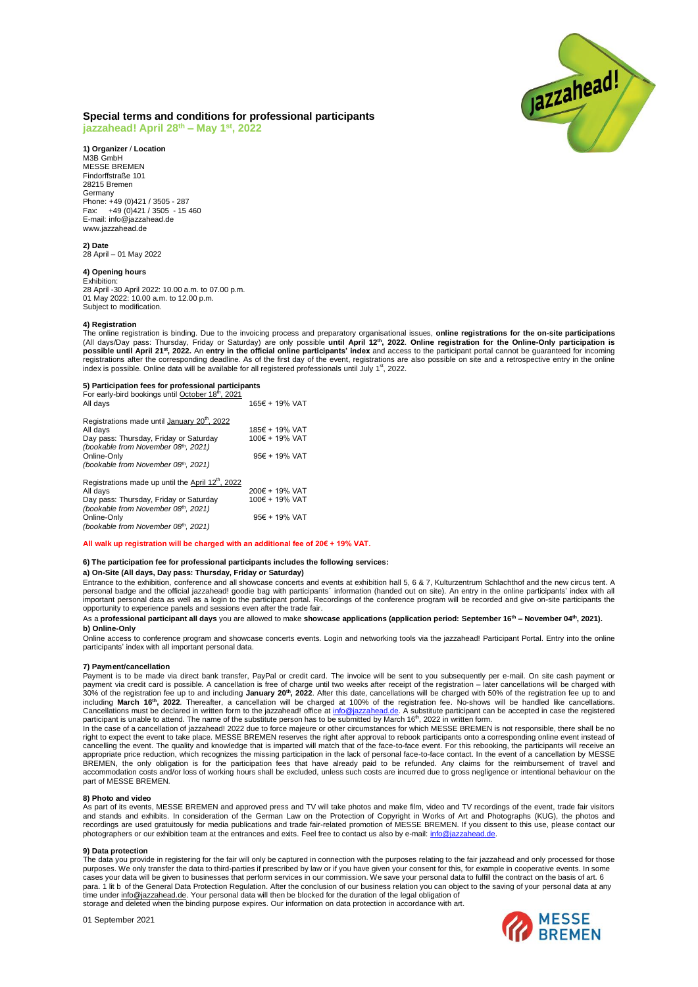

# **Special terms and conditions for professional participants**

**jazzahead! April 28 th – May 1 st , 2022**

**1) Organizer** / **Location** M3B GmbH MESSE BREMEN Findorffstraße 101 28215 Bremen Germany Phone: +49 (0)421 / 3505 - 287 Fax: +49 (0) 421 / 3505 - 15 460 E-mail: info@jazzahead.de www.jazzahead.de

**2) Date** 28 April – 01 May 2022

## **4) Opening hours**

Exhibition: 28 April -30 April 2022: 10.00 a.m. to 07.00 p.m. 01 May 2022: 10.00 a.m. to 12.00 p.m. Subject to modification.

#### **4) Registration**

The online registration is binding. Due to the invoicing process and preparatory organisational issues, **online registrations for the on-site participations** (All days/Day pass: Thursday, Friday or Saturday) are only possible **until April 12<sup>th</sup>, 2022. Online registration for the Online-Only participation is**<br>**possible until April 21<sup>st</sup>, 2022.** An **entry in the official online** index is possible. Online data will be available for all registered professionals until July 1<sup>st</sup>, 2022.

**5) Participation fees for professional participants**<br>For early-bird bookings until <u>October 18<sup>th</sup>, 2021</u> All days 165€ + 19% VAT

| Registrations made until January 20 <sup>th</sup> , 2022                      |                |
|-------------------------------------------------------------------------------|----------------|
| All days                                                                      | 185€ + 19% VAT |
| Day pass: Thursday, Friday or Saturday<br>(bookable from November 08th, 2021) | 100€ + 19% VAT |
| Online-Only                                                                   | 95€ + 19% VAT  |
| (bookable from November 08th, 2021)                                           |                |
| Registrations made up until the April 12 <sup>th</sup> , 2022                 |                |
| All days                                                                      | 200€ + 19% VAT |
| Day pass: Thursday, Friday or Saturday                                        | 100€ + 19% VAT |
| (bookable from November 08th, 2021)                                           |                |
| Online-Only                                                                   | 95€ + 19% VAT  |
| (bookable from November 08th, 2021)                                           |                |

#### **All walk up registration will be charged with an additional fee of 20€ + 19% VAT.**

### **6) The participation fee for professional participants includes the following services:**

#### **a) On-Site (All days, Day pass: Thursday, Friday or Saturday)**

Entrance to the exhibition, conference and all showcase concerts and events at exhibition hall 5, 6 & 7, Kulturzentrum Schlachthof and the new circus tent. A personal badge and the official jazzahead! goodie bag with participants´ information (handed out on site). An entry in the online participants' index with all important personal data as well as a login to the participant portal. Recordings of the conference program will be recorded and give on-site participants the<br>opportunity to experience panels and sessions even after the tra

#### As a **professional participant all days** you are allowed to make **showcase applications (application period: September 16th – November 04th, 2021). b) Online-Only**

Online access to conference program and showcase concerts events. Login and networking tools via the jazzahead! Participant Portal. Entry into the online participants' index with all important personal data.

#### **7) Payment/cancellation**

Payment is to be made via direct bank transfer, PayPal or credit card. The invoice will be sent to you subsequently per e-mail. On site cash payment or payment via credit card is possible. A cancellation is free of charge until two weeks after receipt of the registration – later cancellations will be charged with 30% of the registration fee up to and including **January 20<sup>th</sup>, 2022**. After this date, cancellations will be charged with 50% of the registration fee up to and<br>including **March 16<sup>th</sup>, 2022**. Thereafter, a cancellation w participant is unable to attend. The name of the substitute person has to be submitted by March 16<sup>th</sup>, 2022 in written form.

In the case of a cancellation of jazzahead! 2022 due to force majeure or other circumstances for which MESSE BREMEN is not responsible, there shall be no right to expect the event to take place. MESSE BREMEN reserves the right after approval to rebook participants onto a corresponding online event instead of cancelling the event. The quality and knowledge that is imparted will match that of the face-to-face event. For this rebooking, the participants will receive an appropriate price reduction, which recognizes the missing participation in the lack of personal face-to-face contact. In the event of a cancellation by MESSE<br>BREMEN, the only obligation is for the participation fees that h accommodation costs and/or loss of working hours shall be excluded, unless such costs are incurred due to gross negligence or intentional behaviour on the part of MESSE BREMEN.

#### **8) Photo and video**

As part of its events, MESSE BREMEN and approved press and TV will take photos and make film, video and TV recordings of the event, trade fair visitors<br>and stands and exhibits. In consideration of the German Law on the Pro recordings are used gratuitously for media publications and trade fair-related promotion of MESSE BREMEN. If you dissent to this use, please contact our photographers or our exhibition team at the entrances and exits. Feel free to contact us also by e-mail: info@jaz

## **9) Data protection**

The data you provide in registering for the fair will only be captured in connection with the purposes relating to the fair jazzahead and only processed for those purposes. We only transfer the data to third-parties if prescribed by law or if you have given your consent for this, for example in cooperative events. In some cases your data will be given to businesses that perform services in our commission. We save your personal data to fulfill the contract on the basis of art. 6 para. 1 lit b of the General Data Protection Regulation. After the conclusion of our business relation you can object to the saving of your personal data at any<br>time under <u>info@jazzahead.de</u>. Your personal data will then storage and deleted when the binding purpose expires. Our information on data protection in accordance with art.

01 September 2021